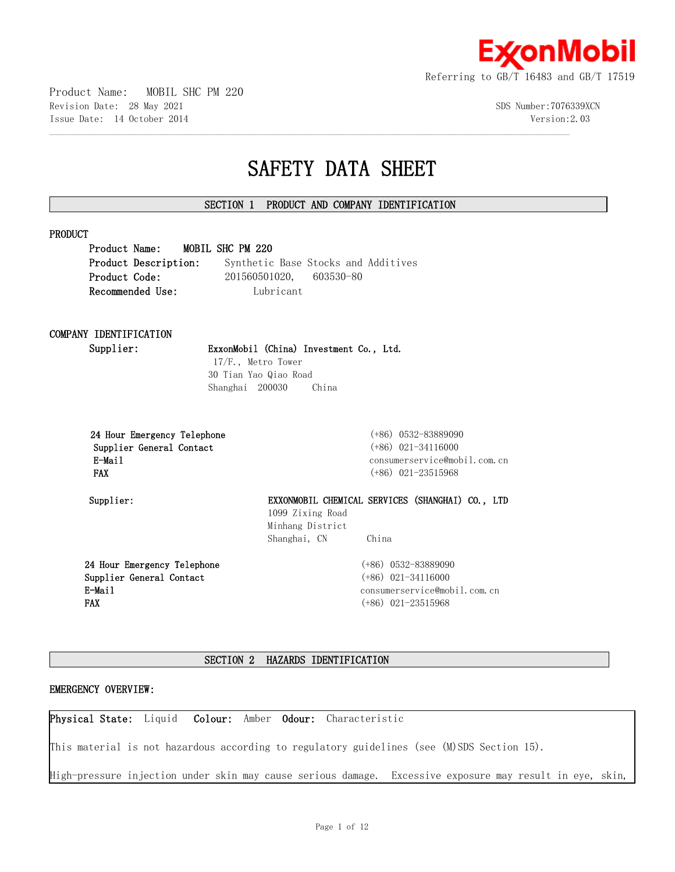

Product Name: MOBIL SHC PM 220 Revision Date: 28 May 2021 3DS Number:7076339XCN Issue Date: 14 October 2014 Version:2.03

# **SAFETY DATA SHEET**

# **SECTION 1 PRODUCT AND COMPANY IDENTIFICATION**

 $\mathcal{L} = \{ \mathcal{L} = \{ \mathcal{L} = \{ \mathcal{L} = \{ \mathcal{L} = \{ \mathcal{L} = \{ \mathcal{L} = \{ \mathcal{L} = \{ \mathcal{L} = \{ \mathcal{L} = \{ \mathcal{L} = \{ \mathcal{L} = \{ \mathcal{L} = \{ \mathcal{L} = \{ \mathcal{L} = \{ \mathcal{L} = \{ \mathcal{L} = \{ \mathcal{L} = \{ \mathcal{L} = \{ \mathcal{L} = \{ \mathcal{L} = \{ \mathcal{L} = \{ \mathcal{L} = \{ \mathcal{L} = \{ \mathcal{$ 

| Product Description: |                         | Synthetic Base Stocks and Additives |
|----------------------|-------------------------|-------------------------------------|
| Product Code:        | 201560501020, 603530-80 |                                     |
| Recommended Use:     | Lubricant               |                                     |

# **COMPANY IDENTIFICATION**

**Supplier: ExxonMobil (China) Investment Co., Ltd.**

 17/F., Metro Tower 30 Tian Yao Qiao Road Shanghai 200030 China

|            |        |                          | 24 Hour Emergency Telephone |
|------------|--------|--------------------------|-----------------------------|
|            |        | Supplier General Contact |                             |
|            | E-Mail |                          |                             |
| <b>FAX</b> |        |                          |                             |

 **24 Hour Emergency Telephone** (+86) 0532-83889090  **Supplier General Contact** (+86) 021-34116000 consumerservice@mobil.com.cn  **FAX** (+86) 021-23515968

**Supplier: EXXONMOBIL CHEMICAL SERVICES (SHANGHAI) CO., LTD** 1099 Zixing Road Minhang District Shanghai, CN China

**24 Hour Emergency Telephone Supplier General Contact E-Mail FAX**

(+86) 0532-83889090 (+86) 021-34116000 consumerservice@mobil.com.cn (+86) 021-23515968

# **SECTION 2 HAZARDS IDENTIFICATION**

# **EMERGENCY OVERVIEW:**

**Physical State:** Liquid **Colour:** Amber **Odour:** Characteristic

This material is not hazardous according to regulatory guidelines (see (M)SDS Section 15).

High-pressure injection under skin may cause serious damage. Excessive exposure may result in eye, skin,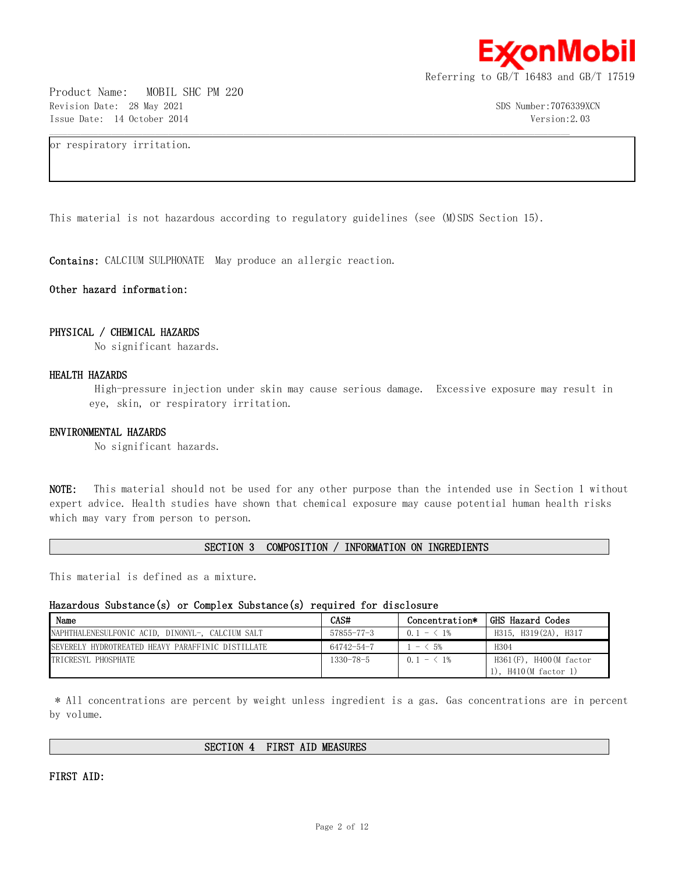

Product Name: MOBIL SHC PM 220 Revision Date: 28 May 2021 3DS Number:7076339XCN Issue Date: 14 October 2014 Version:2.03

or respiratory irritation.

This material is not hazardous according to regulatory guidelines (see (M)SDS Section 15).

 $\mathcal{L} = \{ \mathcal{L} = \{ \mathcal{L} = \{ \mathcal{L} = \{ \mathcal{L} = \{ \mathcal{L} = \{ \mathcal{L} = \{ \mathcal{L} = \{ \mathcal{L} = \{ \mathcal{L} = \{ \mathcal{L} = \{ \mathcal{L} = \{ \mathcal{L} = \{ \mathcal{L} = \{ \mathcal{L} = \{ \mathcal{L} = \{ \mathcal{L} = \{ \mathcal{L} = \{ \mathcal{L} = \{ \mathcal{L} = \{ \mathcal{L} = \{ \mathcal{L} = \{ \mathcal{L} = \{ \mathcal{L} = \{ \mathcal{$ 

**Contains:** CALCIUM SULPHONATE May produce an allergic reaction.

**Other hazard information:**

#### **PHYSICAL / CHEMICAL HAZARDS**

No significant hazards.

#### **HEALTH HAZARDS**

 High-pressure injection under skin may cause serious damage. Excessive exposure may result in eye, skin, or respiratory irritation.

#### **ENVIRONMENTAL HAZARDS**

No significant hazards.

**NOTE:** This material should not be used for any other purpose than the intended use in Section 1 without expert advice. Health studies have shown that chemical exposure may cause potential human health risks which may vary from person to person.

**SECTION 3 COMPOSITION / INFORMATION ON INGREDIENTS**

This material is defined as a mixture.

#### **Hazardous Substance(s) or Complex Substance(s) required for disclosure**

| Name                                              | CAS#             | Concentration*                         | GHS Hazard Codes                                  |
|---------------------------------------------------|------------------|----------------------------------------|---------------------------------------------------|
| NAPHTHALENESULFONIC ACID, DINONYL-, CALCIUM SALT  | $57855 - 77 - 3$ | $0.1 - 1\%$                            | H315, H319(2A), H317                              |
| SEVERELY HYDROTREATED HEAVY PARAFFINIC DISTILLATE | 64742-54-7       | $\leq 5\%$<br>$\overline{\phantom{m}}$ | H304                                              |
| TRICRESYL PHOSPHATE                               | $1330 - 78 - 5$  | $0.1 - 1\%$                            | $H361(F)$ , $H400(M$ factor<br>, H410(M factor 1) |

 \* All concentrations are percent by weight unless ingredient is a gas. Gas concentrations are in percent by volume.

**SECTION 4 FIRST AID MEASURES**

**FIRST AID:**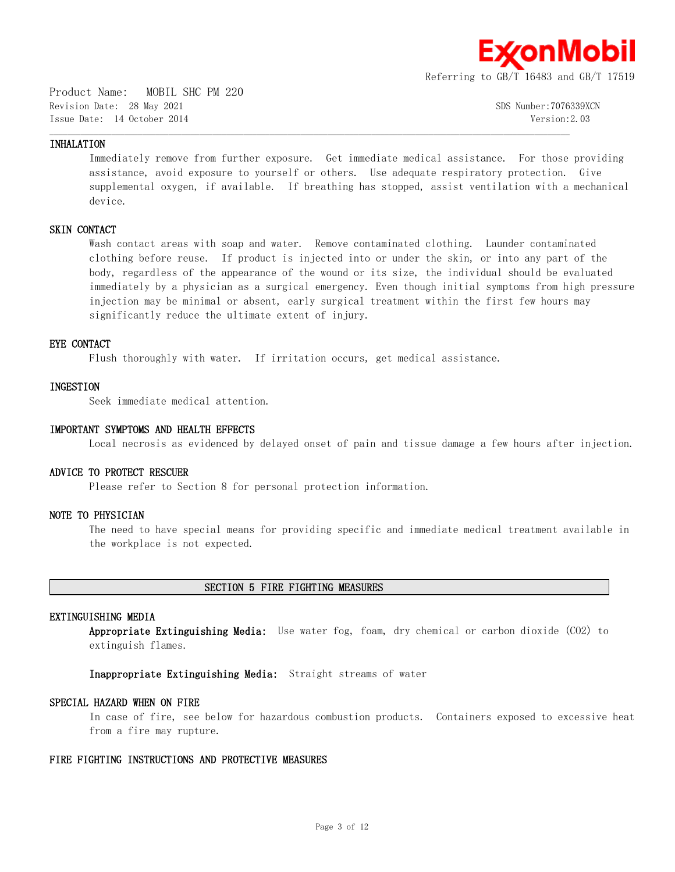

Product Name: MOBIL SHC PM 220 Revision Date: 28 May 2021 SDS Number:7076339XCN Issue Date: 14 October 2014 Version:2.03

#### **INHALATION**

Immediately remove from further exposure. Get immediate medical assistance. For those providing assistance, avoid exposure to yourself or others. Use adequate respiratory protection. Give supplemental oxygen, if available. If breathing has stopped, assist ventilation with a mechanical device.

#### **SKIN CONTACT**

Wash contact areas with soap and water. Remove contaminated clothing. Launder contaminated clothing before reuse. If product is injected into or under the skin, or into any part of the body, regardless of the appearance of the wound or its size, the individual should be evaluated immediately by a physician as a surgical emergency. Even though initial symptoms from high pressure injection may be minimal or absent, early surgical treatment within the first few hours may significantly reduce the ultimate extent of injury.

#### **EYE CONTACT**

Flush thoroughly with water. If irritation occurs, get medical assistance.

 $\mathcal{L} = \{ \mathcal{L} = \{ \mathcal{L} = \{ \mathcal{L} = \{ \mathcal{L} = \{ \mathcal{L} = \{ \mathcal{L} = \{ \mathcal{L} = \{ \mathcal{L} = \{ \mathcal{L} = \{ \mathcal{L} = \{ \mathcal{L} = \{ \mathcal{L} = \{ \mathcal{L} = \{ \mathcal{L} = \{ \mathcal{L} = \{ \mathcal{L} = \{ \mathcal{L} = \{ \mathcal{L} = \{ \mathcal{L} = \{ \mathcal{L} = \{ \mathcal{L} = \{ \mathcal{L} = \{ \mathcal{L} = \{ \mathcal{$ 

#### **INGESTION**

Seek immediate medical attention.

#### **IMPORTANT SYMPTOMS AND HEALTH EFFECTS**

Local necrosis as evidenced by delayed onset of pain and tissue damage a few hours after injection.

#### **ADVICE TO PROTECT RESCUER**

Please refer to Section 8 for personal protection information.

# **NOTE TO PHYSICIAN**

The need to have special means for providing specific and immediate medical treatment available in the workplace is not expected.

#### **SECTION 5 FIRE FIGHTING MEASURES**

# **EXTINGUISHING MEDIA**

**Appropriate Extinguishing Media:** Use water fog, foam, dry chemical or carbon dioxide (CO2) to extinguish flames.

**Inappropriate Extinguishing Media:** Straight streams of water

#### **SPECIAL HAZARD WHEN ON FIRE**

In case of fire, see below for hazardous combustion products. Containers exposed to excessive heat from a fire may rupture.

#### **FIRE FIGHTING INSTRUCTIONS AND PROTECTIVE MEASURES**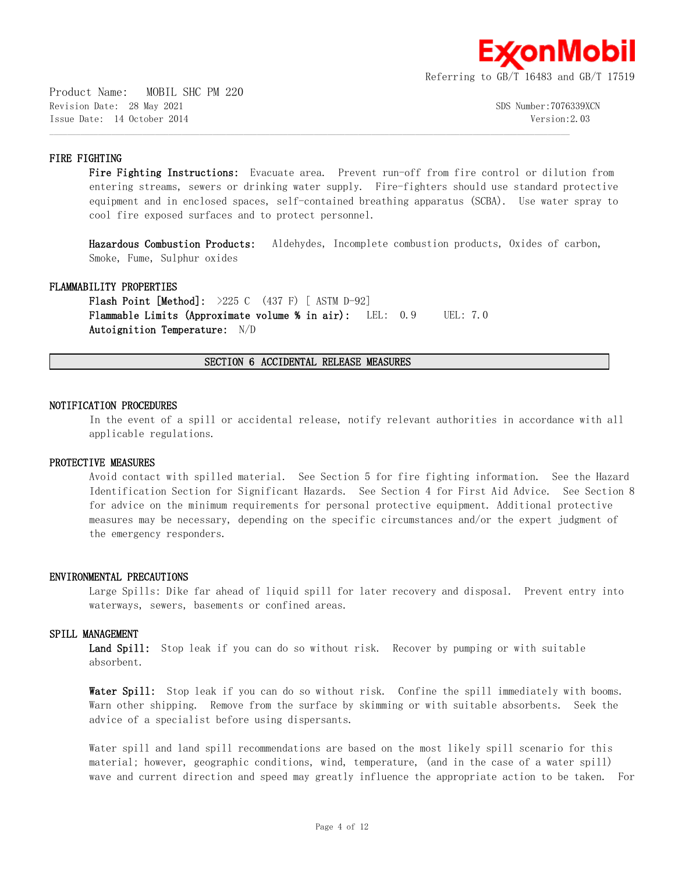

Product Name: MOBIL SHC PM 220 Revision Date: 28 May 2021 3DS Number:7076339XCN Issue Date: 14 October 2014 Version:2.03

# **FIRE FIGHTING**

Fire Fighting Instructions: Evacuate area. Prevent run-off from fire control or dilution from entering streams, sewers or drinking water supply. Fire-fighters should use standard protective equipment and in enclosed spaces, self-contained breathing apparatus (SCBA). Use water spray to cool fire exposed surfaces and to protect personnel.

**Hazardous Combustion Products:** Aldehydes, Incomplete combustion products, Oxides of carbon, Smoke, Fume, Sulphur oxides

# **FLAMMABILITY PROPERTIES**

**Flash Point [Method]:** >225 C (437 F) [ ASTM D-92] **Flammable Limits (Approximate volume % in air):** LEL: 0.9 UEL: 7.0 **Autoignition Temperature:** N/D

**SECTION 6 ACCIDENTAL RELEASE MEASURES**

 $\mathcal{L} = \{ \mathcal{L} = \{ \mathcal{L} = \{ \mathcal{L} = \{ \mathcal{L} = \{ \mathcal{L} = \{ \mathcal{L} = \{ \mathcal{L} = \{ \mathcal{L} = \{ \mathcal{L} = \{ \mathcal{L} = \{ \mathcal{L} = \{ \mathcal{L} = \{ \mathcal{L} = \{ \mathcal{L} = \{ \mathcal{L} = \{ \mathcal{L} = \{ \mathcal{L} = \{ \mathcal{L} = \{ \mathcal{L} = \{ \mathcal{L} = \{ \mathcal{L} = \{ \mathcal{L} = \{ \mathcal{L} = \{ \mathcal{$ 

#### **NOTIFICATION PROCEDURES**

In the event of a spill or accidental release, notify relevant authorities in accordance with all applicable regulations.

#### **PROTECTIVE MEASURES**

Avoid contact with spilled material. See Section 5 for fire fighting information. See the Hazard Identification Section for Significant Hazards. See Section 4 for First Aid Advice. See Section 8 for advice on the minimum requirements for personal protective equipment. Additional protective measures may be necessary, depending on the specific circumstances and/or the expert judgment of the emergency responders.

#### **ENVIRONMENTAL PRECAUTIONS**

Large Spills: Dike far ahead of liquid spill for later recovery and disposal. Prevent entry into waterways, sewers, basements or confined areas.

#### **SPILL MANAGEMENT**

Land Spill: Stop leak if you can do so without risk. Recover by pumping or with suitable absorbent.

Water Spill: Stop leak if you can do so without risk. Confine the spill immediately with booms. Warn other shipping. Remove from the surface by skimming or with suitable absorbents. Seek the advice of a specialist before using dispersants.

Water spill and land spill recommendations are based on the most likely spill scenario for this material; however, geographic conditions, wind, temperature, (and in the case of a water spill) wave and current direction and speed may greatly influence the appropriate action to be taken. For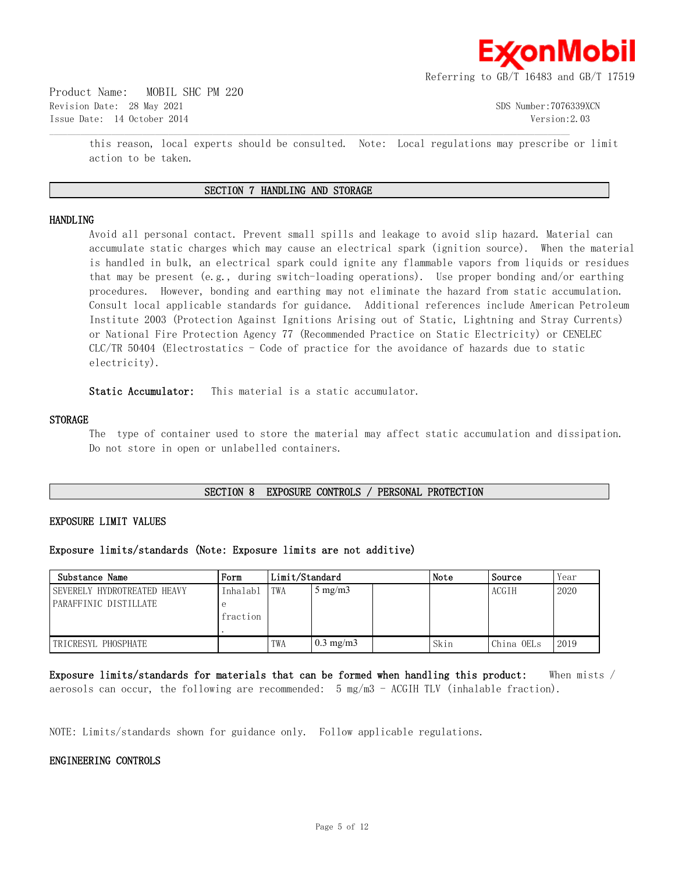

Product Name: MOBIL SHC PM 220 Revision Date: 28 May 2021 SDS Number:7076339XCN Issue Date: 14 October 2014 Version:2.03

this reason, local experts should be consulted. Note: Local regulations may prescribe or limit action to be taken.

# **SECTION 7 HANDLING AND STORAGE**

 $\mathcal{L} = \{ \mathcal{L} = \{ \mathcal{L} = \{ \mathcal{L} = \{ \mathcal{L} = \{ \mathcal{L} = \{ \mathcal{L} = \{ \mathcal{L} = \{ \mathcal{L} = \{ \mathcal{L} = \{ \mathcal{L} = \{ \mathcal{L} = \{ \mathcal{L} = \{ \mathcal{L} = \{ \mathcal{L} = \{ \mathcal{L} = \{ \mathcal{L} = \{ \mathcal{L} = \{ \mathcal{L} = \{ \mathcal{L} = \{ \mathcal{L} = \{ \mathcal{L} = \{ \mathcal{L} = \{ \mathcal{L} = \{ \mathcal{$ 

#### **HANDLING**

Avoid all personal contact. Prevent small spills and leakage to avoid slip hazard. Material can accumulate static charges which may cause an electrical spark (ignition source). When the material is handled in bulk, an electrical spark could ignite any flammable vapors from liquids or residues that may be present (e.g., during switch-loading operations). Use proper bonding and/or earthing procedures. However, bonding and earthing may not eliminate the hazard from static accumulation. Consult local applicable standards for guidance. Additional references include American Petroleum Institute 2003 (Protection Against Ignitions Arising out of Static, Lightning and Stray Currents) or National Fire Protection Agency 77 (Recommended Practice on Static Electricity) or CENELEC CLC/TR 50404 (Electrostatics - Code of practice for the avoidance of hazards due to static electricity).

**Static Accumulator:** This material is a static accumulator.

#### **STORAGE**

The type of container used to store the material may affect static accumulation and dissipation. Do not store in open or unlabelled containers.

#### **SECTION 8 EXPOSURE CONTROLS / PERSONAL PROTECTION**

#### **EXPOSURE LIMIT VALUES**

#### **Exposure limits/standards (Note: Exposure limits are not additive)**

| Substance Name              | Form     | Limit/Standard |                    | Note | Source | Year         |      |
|-----------------------------|----------|----------------|--------------------|------|--------|--------------|------|
| SEVERELY HYDROTREATED HEAVY | Inhalab1 | TWA            | $5 \text{ mg/m}$   |      |        | <b>ACGTH</b> | 2020 |
| PARAFFINIC DISTILLATE       |          |                |                    |      |        |              |      |
|                             | fraction |                |                    |      |        |              |      |
|                             |          |                |                    |      |        |              |      |
| TRICRESYL PHOSPHATE         |          | TWA            | $0.3 \text{ mg/m}$ |      | Skin   | China OELs   | 2019 |

**Exposure limits/standards for materials that can be formed when handling this product:** When mists / aerosols can occur, the following are recommended:  $5 \text{ mg/m}$  - ACGIH TLV (inhalable fraction).

NOTE: Limits/standards shown for guidance only. Follow applicable regulations.

#### **ENGINEERING CONTROLS**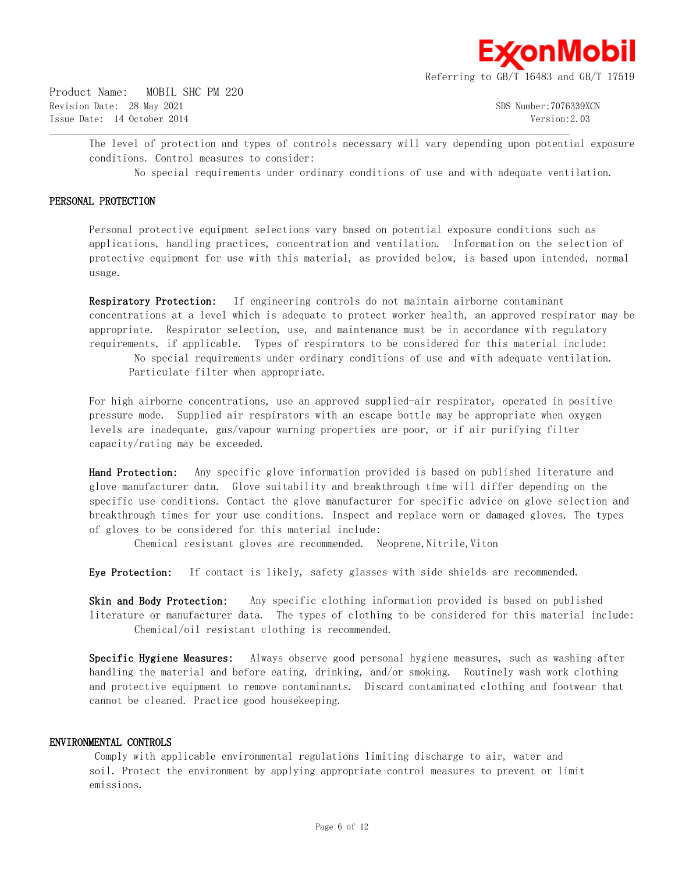

Product Name: MOBIL SHC PM 220 Revision Date: 28 May 2021 SDS Number:7076339XCN Issue Date: 14 October 2014 Version:2.03

The level of protection and types of controls necessary will vary depending upon potential exposure conditions. Control measures to consider:

No special requirements under ordinary conditions of use and with adequate ventilation.

# **PERSONAL PROTECTION**

Personal protective equipment selections vary based on potential exposure conditions such as applications, handling practices, concentration and ventilation. Information on the selection of protective equipment for use with this material, as provided below, is based upon intended, normal usage.

**Respiratory Protection:** If engineering controls do not maintain airborne contaminant concentrations at a level which is adequate to protect worker health, an approved respirator may be appropriate. Respirator selection, use, and maintenance must be in accordance with regulatory requirements, if applicable. Types of respirators to be considered for this material include: No special requirements under ordinary conditions of use and with adequate ventilation.

Particulate filter when appropriate.

 $\mathcal{L} = \{ \mathcal{L} = \{ \mathcal{L} = \{ \mathcal{L} = \{ \mathcal{L} = \{ \mathcal{L} = \{ \mathcal{L} = \{ \mathcal{L} = \{ \mathcal{L} = \{ \mathcal{L} = \{ \mathcal{L} = \{ \mathcal{L} = \{ \mathcal{L} = \{ \mathcal{L} = \{ \mathcal{L} = \{ \mathcal{L} = \{ \mathcal{L} = \{ \mathcal{L} = \{ \mathcal{L} = \{ \mathcal{L} = \{ \mathcal{L} = \{ \mathcal{L} = \{ \mathcal{L} = \{ \mathcal{L} = \{ \mathcal{$ 

For high airborne concentrations, use an approved supplied-air respirator, operated in positive pressure mode. Supplied air respirators with an escape bottle may be appropriate when oxygen levels are inadequate, gas/vapour warning properties are poor, or if air purifying filter capacity/rating may be exceeded.

**Hand Protection:** Any specific glove information provided is based on published literature and glove manufacturer data. Glove suitability and breakthrough time will differ depending on the specific use conditions. Contact the glove manufacturer for specific advice on glove selection and breakthrough times for your use conditions. Inspect and replace worn or damaged gloves. The types of gloves to be considered for this material include:

Chemical resistant gloves are recommended. Neoprene, Nitrile, Viton

**Eye Protection:** If contact is likely, safety glasses with side shields are recommended.

**Skin and Body Protection:** Any specific clothing information provided is based on published literature or manufacturer data. The types of clothing to be considered for this material include: Chemical/oil resistant clothing is recommended.

**Specific Hygiene Measures:** Always observe good personal hygiene measures, such as washing after handling the material and before eating, drinking, and/or smoking. Routinely wash work clothing and protective equipment to remove contaminants. Discard contaminated clothing and footwear that cannot be cleaned. Practice good housekeeping.

#### **ENVIRONMENTAL CONTROLS**

 Comply with applicable environmental regulations limiting discharge to air, water and soil. Protect the environment by applying appropriate control measures to prevent or limit emissions.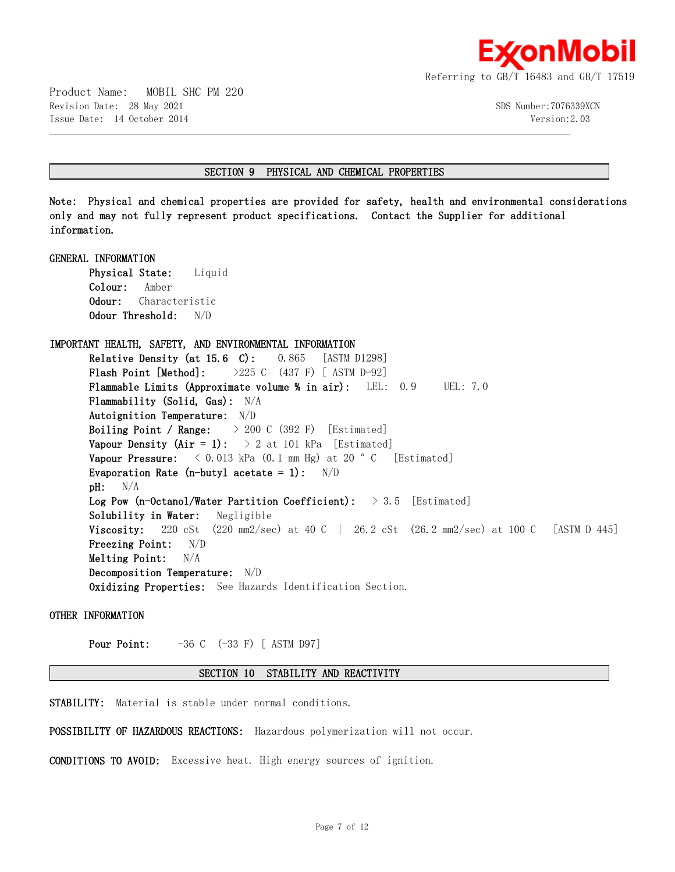

Product Name: MOBIL SHC PM 220 Revision Date: 28 May 2021 SDS Number:7076339XCN Issue Date: 14 October 2014 Version:2.03

#### **SECTION 9 PHYSICAL AND CHEMICAL PROPERTIES**

 $\mathcal{L} = \{ \mathcal{L} = \{ \mathcal{L} = \{ \mathcal{L} = \{ \mathcal{L} = \{ \mathcal{L} = \{ \mathcal{L} = \{ \mathcal{L} = \{ \mathcal{L} = \{ \mathcal{L} = \{ \mathcal{L} = \{ \mathcal{L} = \{ \mathcal{L} = \{ \mathcal{L} = \{ \mathcal{L} = \{ \mathcal{L} = \{ \mathcal{L} = \{ \mathcal{L} = \{ \mathcal{L} = \{ \mathcal{L} = \{ \mathcal{L} = \{ \mathcal{L} = \{ \mathcal{L} = \{ \mathcal{L} = \{ \mathcal{$ 

**Note: Physical and chemical properties are provided for safety, health and environmental considerations only and may not fully represent product specifications. Contact the Supplier for additional information.**

**GENERAL INFORMATION Physical State:** Liquid **Colour:** Amber **Odour:** Characteristic **Odour Threshold:** N/D **IMPORTANT HEALTH, SAFETY, AND ENVIRONMENTAL INFORMATION Relative Density (at 15.6 C):** 0.865 [ASTM D1298] **Flash Point [Method]:** >225 C (437 F) [ ASTM D-92] **Flammable Limits (Approximate volume % in air):** LEL: 0.9 UEL: 7.0 **Flammability (Solid, Gas):** N/A **Autoignition Temperature:** N/D **Boiling Point / Range:** > 200 C (392 F) [Estimated] **Vapour Density (Air = 1):**  $> 2$  at 101 kPa [Estimated] **Vapour Pressure:**  $\langle 0.013 \text{ kPa} (0.1 \text{ mm Hg}) \text{ at } 20 \text{ °C}$  [Estimated] **Evaporation Rate (n-butyl acetate = 1):** N/D **pH:** N/A **Log Pow (n-Octanol/Water Partition Coefficient):** > 3.5 [Estimated] **Solubility in Water:** Negligible **Viscosity:** 220 cSt (220 mm2/sec) at 40 C | 26.2 cSt (26.2 mm2/sec) at 100 C [ASTM D 445] **Freezing Point:** N/D **Melting Point:** N/A **Decomposition Temperature:** N/D **Oxidizing Properties:** See Hazards Identification Section.

**OTHER INFORMATION**

**Pour Point:**  $-36$  C  $(-33)$  F) [ASTM D97]

#### **SECTION 10 STABILITY AND REACTIVITY**

**STABILITY:** Material is stable under normal conditions.

**POSSIBILITY OF HAZARDOUS REACTIONS:** Hazardous polymerization will not occur.

**CONDITIONS TO AVOID:** Excessive heat. High energy sources of ignition.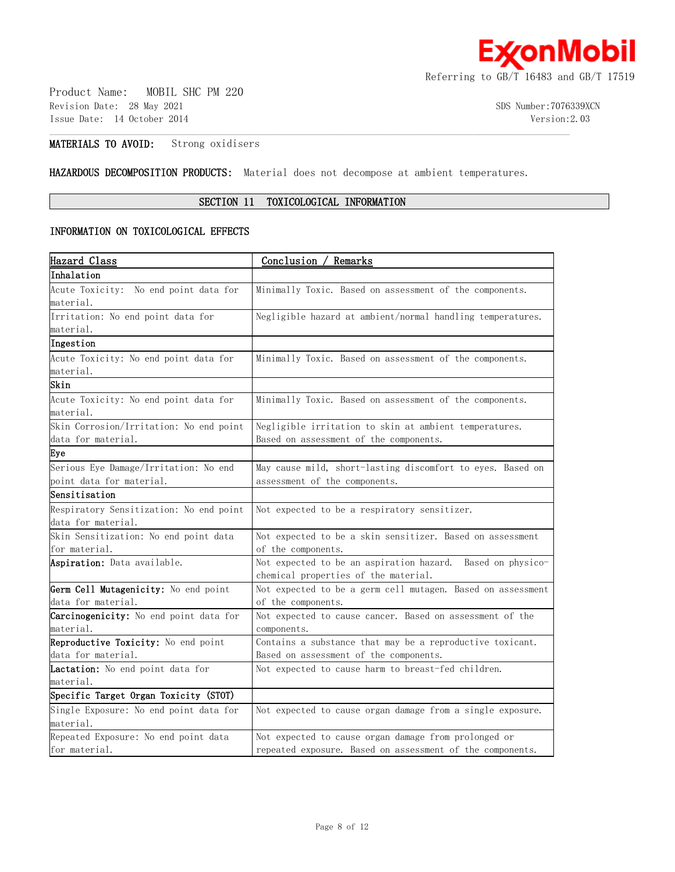

Product Name: MOBIL SHC PM 220 Revision Date: 28 May 2021 3DS Number:7076339XCN Issue Date: 14 October 2014 Version:2.03

# **MATERIALS TO AVOID:** Strong oxidisers

**HAZARDOUS DECOMPOSITION PRODUCTS:** Material does not decompose at ambient temperatures.

# **SECTION 11 TOXICOLOGICAL INFORMATION**

 $\mathcal{L} = \{ \mathcal{L} = \{ \mathcal{L} = \{ \mathcal{L} = \{ \mathcal{L} = \{ \mathcal{L} = \{ \mathcal{L} = \{ \mathcal{L} = \{ \mathcal{L} = \{ \mathcal{L} = \{ \mathcal{L} = \{ \mathcal{L} = \{ \mathcal{L} = \{ \mathcal{L} = \{ \mathcal{L} = \{ \mathcal{L} = \{ \mathcal{L} = \{ \mathcal{L} = \{ \mathcal{L} = \{ \mathcal{L} = \{ \mathcal{L} = \{ \mathcal{L} = \{ \mathcal{L} = \{ \mathcal{L} = \{ \mathcal{$ 

# **INFORMATION ON TOXICOLOGICAL EFFECTS**

| Hazard Class                                  | Conclusion / Remarks                                        |
|-----------------------------------------------|-------------------------------------------------------------|
| Inhalation                                    |                                                             |
| Acute Toxicity: No end point data for         | Minimally Toxic. Based on assessment of the components.     |
| material.                                     |                                                             |
| Irritation: No end point data for             | Negligible hazard at ambient/normal handling temperatures.  |
| material.                                     |                                                             |
| Ingestion                                     |                                                             |
| Acute Toxicity: No end point data for         | Minimally Toxic. Based on assessment of the components.     |
| material.                                     |                                                             |
| Skin                                          |                                                             |
| Acute Toxicity: No end point data for         | Minimally Toxic. Based on assessment of the components.     |
| material.                                     |                                                             |
| Skin Corrosion/Irritation: No end point       | Negligible irritation to skin at ambient temperatures.      |
| data for material.                            | Based on assessment of the components.                      |
| Eye                                           |                                                             |
| Serious Eye Damage/Irritation: No end         | May cause mild, short-lasting discomfort to eyes. Based on  |
| point data for material.                      | assessment of the components.                               |
| Sensitisation                                 |                                                             |
| Respiratory Sensitization: No end point       | Not expected to be a respiratory sensitizer.                |
| data for material.                            |                                                             |
| Skin Sensitization: No end point data         | Not expected to be a skin sensitizer. Based on assessment   |
| for material.                                 | of the components.                                          |
| <b>Aspiration:</b> Data available.            | Not expected to be an aspiration hazard. Based on physico-  |
|                                               | chemical properties of the material.                        |
| Germ Cell Mutagenicity: No end point          | Not expected to be a germ cell mutagen. Based on assessment |
| data for material.                            | of the components.                                          |
| <b>Carcinogenicity:</b> No end point data for | Not expected to cause cancer. Based on assessment of the    |
| material.                                     | components.                                                 |
| Reproductive Toxicity: No end point           | Contains a substance that may be a reproductive toxicant.   |
| data for material.                            | Based on assessment of the components.                      |
| Lactation: No end point data for              | Not expected to cause harm to breast-fed children.          |
| material.                                     |                                                             |
| Specific Target Organ Toxicity (STOT)         |                                                             |
| Single Exposure: No end point data for        | Not expected to cause organ damage from a single exposure.  |
| material.                                     |                                                             |
| Repeated Exposure: No end point data          | Not expected to cause organ damage from prolonged or        |
| for material.                                 | repeated exposure. Based on assessment of the components.   |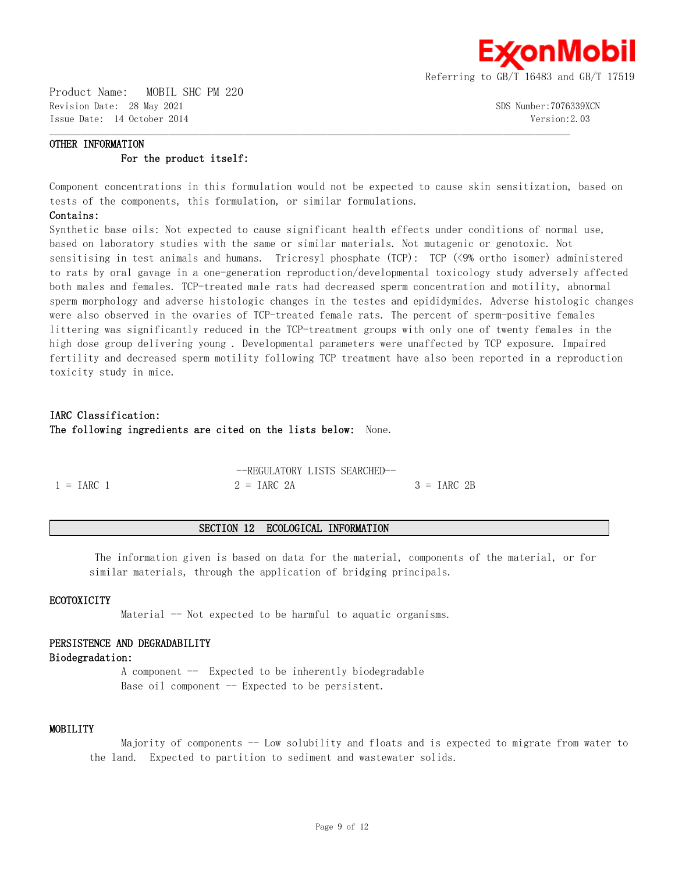

Product Name: MOBIL SHC PM 220 Revision Date: 28 May 2021 SDS Number:7076339XCN Issue Date: 14 October 2014 Version:2.03

# **OTHER INFORMATION For the product itself:**

Component concentrations in this formulation would not be expected to cause skin sensitization, based on tests of the components, this formulation, or similar formulations.

 $\mathcal{L} = \{ \mathcal{L} = \{ \mathcal{L} = \{ \mathcal{L} = \{ \mathcal{L} = \{ \mathcal{L} = \{ \mathcal{L} = \{ \mathcal{L} = \{ \mathcal{L} = \{ \mathcal{L} = \{ \mathcal{L} = \{ \mathcal{L} = \{ \mathcal{L} = \{ \mathcal{L} = \{ \mathcal{L} = \{ \mathcal{L} = \{ \mathcal{L} = \{ \mathcal{L} = \{ \mathcal{L} = \{ \mathcal{L} = \{ \mathcal{L} = \{ \mathcal{L} = \{ \mathcal{L} = \{ \mathcal{L} = \{ \mathcal{$ 

#### **Contains:**

Synthetic base oils: Not expected to cause significant health effects under conditions of normal use, based on laboratory studies with the same or similar materials. Not mutagenic or genotoxic. Not sensitising in test animals and humans. Tricresyl phosphate (TCP): TCP (<9% ortho isomer) administered to rats by oral gavage in a one-generation reproduction/developmental toxicology study adversely affected both males and females. TCP-treated male rats had decreased sperm concentration and motility, abnormal sperm morphology and adverse histologic changes in the testes and epididymides. Adverse histologic changes were also observed in the ovaries of TCP-treated female rats. The percent of sperm-positive females littering was significantly reduced in the TCP-treatment groups with only one of twenty females in the high dose group delivering young . Developmental parameters were unaffected by TCP exposure. Impaired fertility and decreased sperm motility following TCP treatment have also been reported in a reproduction toxicity study in mice.

# **IARC Classification: The following ingredients are cited on the lists below:** None.

|                     | --REGULATORY LISTS SEARCHED-- |              |
|---------------------|-------------------------------|--------------|
| $1 = \text{IARC}$ 1 | $2 = \text{IARC} 2A$          | $3 = IARC2B$ |

#### **SECTION 12 ECOLOGICAL INFORMATION**

 The information given is based on data for the material, components of the material, or for similar materials, through the application of bridging principals.

#### **ECOTOXICITY**

Material -- Not expected to be harmful to aquatic organisms.

#### **PERSISTENCE AND DEGRADABILITY**

#### **Biodegradation:**

A component  $-$  Expected to be inherently biodegradable Base oil component  $-$  Expected to be persistent.

# **MOBILITY**

Majority of components -- Low solubility and floats and is expected to migrate from water to the land. Expected to partition to sediment and wastewater solids.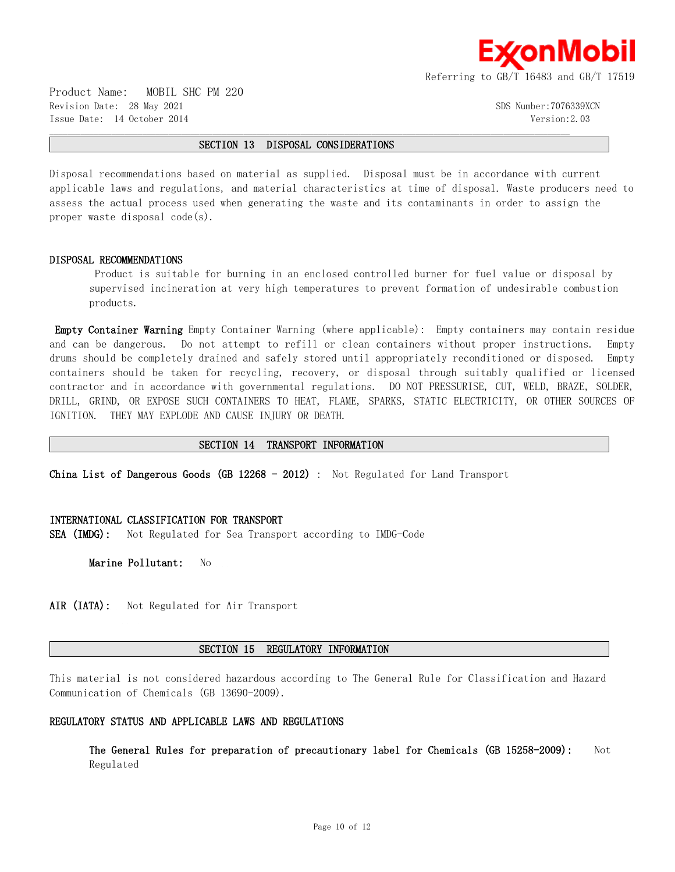

Product Name: MOBIL SHC PM 220 Revision Date: 28 May 2021 SDS Number:7076339XCN Issue Date: 14 October 2014 Version:2.03

#### **SECTION 13 DISPOSAL CONSIDERATIONS**

 $\mathcal{L} = \{ \mathcal{L} = \{ \mathcal{L} = \{ \mathcal{L} = \{ \mathcal{L} = \{ \mathcal{L} = \{ \mathcal{L} = \{ \mathcal{L} = \{ \mathcal{L} = \{ \mathcal{L} = \{ \mathcal{L} = \{ \mathcal{L} = \{ \mathcal{L} = \{ \mathcal{L} = \{ \mathcal{L} = \{ \mathcal{L} = \{ \mathcal{L} = \{ \mathcal{L} = \{ \mathcal{L} = \{ \mathcal{L} = \{ \mathcal{L} = \{ \mathcal{L} = \{ \mathcal{L} = \{ \mathcal{L} = \{ \mathcal{$ 

Disposal recommendations based on material as supplied. Disposal must be in accordance with current applicable laws and regulations, and material characteristics at time of disposal. Waste producers need to assess the actual process used when generating the waste and its contaminants in order to assign the proper waste disposal code(s).

#### **DISPOSAL RECOMMENDATIONS**

 Product is suitable for burning in an enclosed controlled burner for fuel value or disposal by supervised incineration at very high temperatures to prevent formation of undesirable combustion products.

**Empty Container Warning** Empty Container Warning (where applicable): Empty containers may contain residue and can be dangerous. Do not attempt to refill or clean containers without proper instructions. Empty drums should be completely drained and safely stored until appropriately reconditioned or disposed. Empty containers should be taken for recycling, recovery, or disposal through suitably qualified or licensed contractor and in accordance with governmental regulations. DO NOT PRESSURISE, CUT, WELD, BRAZE, SOLDER, DRILL, GRIND, OR EXPOSE SUCH CONTAINERS TO HEAT, FLAME, SPARKS, STATIC ELECTRICITY, OR OTHER SOURCES OF IGNITION. THEY MAY EXPLODE AND CAUSE INJURY OR DEATH.

#### **SECTION 14 TRANSPORT INFORMATION**

**China List of Dangerous Goods (GB 12268 - 2012)** : Not Regulated for Land Transport

#### **INTERNATIONAL CLASSIFICATION FOR TRANSPORT**

**SEA (IMDG):** Not Regulated for Sea Transport according to IMDG-Code

**Marine Pollutant:** No

**AIR (IATA):** Not Regulated for Air Transport

#### **SECTION 15 REGULATORY INFORMATION**

This material is not considered hazardous according to The General Rule for Classification and Hazard Communication of Chemicals (GB 13690-2009).

#### **REGULATORY STATUS AND APPLICABLE LAWS AND REGULATIONS**

**The General Rules for preparation of precautionary label for Chemicals (GB 15258-2009):** Not Regulated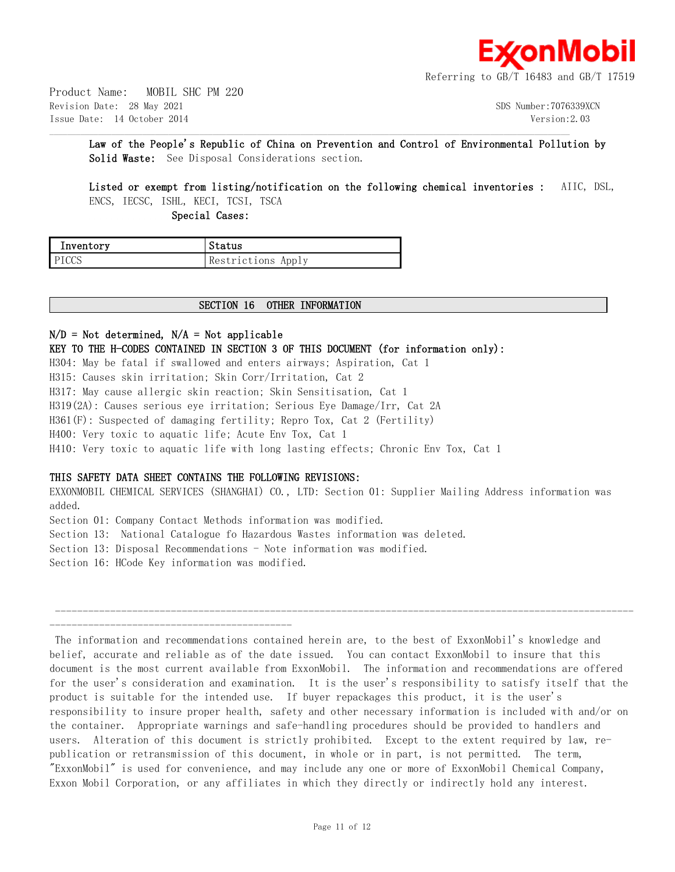

Product Name: MOBIL SHC PM 220 Revision Date: 28 May 2021 SDS Number:7076339XCN Issue Date: 14 October 2014 Version:2.03

**Law of the People's Republic of China on Prevention and Control of Environmental Pollution by Solid Waste:** See Disposal Considerations section.

 $\mathcal{L} = \{ \mathcal{L} = \{ \mathcal{L} = \{ \mathcal{L} = \{ \mathcal{L} = \{ \mathcal{L} = \{ \mathcal{L} = \{ \mathcal{L} = \{ \mathcal{L} = \{ \mathcal{L} = \{ \mathcal{L} = \{ \mathcal{L} = \{ \mathcal{L} = \{ \mathcal{L} = \{ \mathcal{L} = \{ \mathcal{L} = \{ \mathcal{L} = \{ \mathcal{L} = \{ \mathcal{L} = \{ \mathcal{L} = \{ \mathcal{L} = \{ \mathcal{L} = \{ \mathcal{L} = \{ \mathcal{L} = \{ \mathcal{$ 

**Listed or exempt from listing/notification on the following chemical inventories :** AIIC, DSL,

ENCS, IECSC, ISHL, KECI, TCSI, TSCA

 **Special Cases:**

| Inventory | Status             |
|-----------|--------------------|
| PICCS     | Restrictions Apply |

#### **SECTION 16 OTHER INFORMATION**

# **N/D = Not determined, N/A = Not applicable**

**KEY TO THE H-CODES CONTAINED IN SECTION 3 OF THIS DOCUMENT (for information only):** H304: May be fatal if swallowed and enters airways; Aspiration, Cat 1 H315: Causes skin irritation; Skin Corr/Irritation, Cat 2 H317: May cause allergic skin reaction; Skin Sensitisation, Cat 1 H319(2A): Causes serious eye irritation; Serious Eye Damage/Irr, Cat 2A H361(F): Suspected of damaging fertility; Repro Tox, Cat 2 (Fertility) H400: Very toxic to aquatic life; Acute Env Tox, Cat 1 H410: Very toxic to aquatic life with long lasting effects; Chronic Env Tox, Cat 1

### **THIS SAFETY DATA SHEET CONTAINS THE FOLLOWING REVISIONS:**

EXXONMOBIL CHEMICAL SERVICES (SHANGHAI) CO., LTD: Section 01: Supplier Mailing Address information was added.

Section 01: Company Contact Methods information was modified.

Section 13: National Catalogue fo Hazardous Wastes information was deleted.

Section 13: Disposal Recommendations - Note information was modified.

Section 16: HCode Key information was modified.

 --------------------------------------------------------------------------------------------------------- --------------------------------------------

 The information and recommendations contained herein are, to the best of ExxonMobil's knowledge and belief, accurate and reliable as of the date issued. You can contact ExxonMobil to insure that this document is the most current available from ExxonMobil. The information and recommendations are offered for the user's consideration and examination. It is the user's responsibility to satisfy itself that the product is suitable for the intended use. If buyer repackages this product, it is the user's responsibility to insure proper health, safety and other necessary information is included with and/or on the container. Appropriate warnings and safe-handling procedures should be provided to handlers and users. Alteration of this document is strictly prohibited. Except to the extent required by law, republication or retransmission of this document, in whole or in part, is not permitted. The term, "ExxonMobil" is used for convenience, and may include any one or more of ExxonMobil Chemical Company, Exxon Mobil Corporation, or any affiliates in which they directly or indirectly hold any interest.